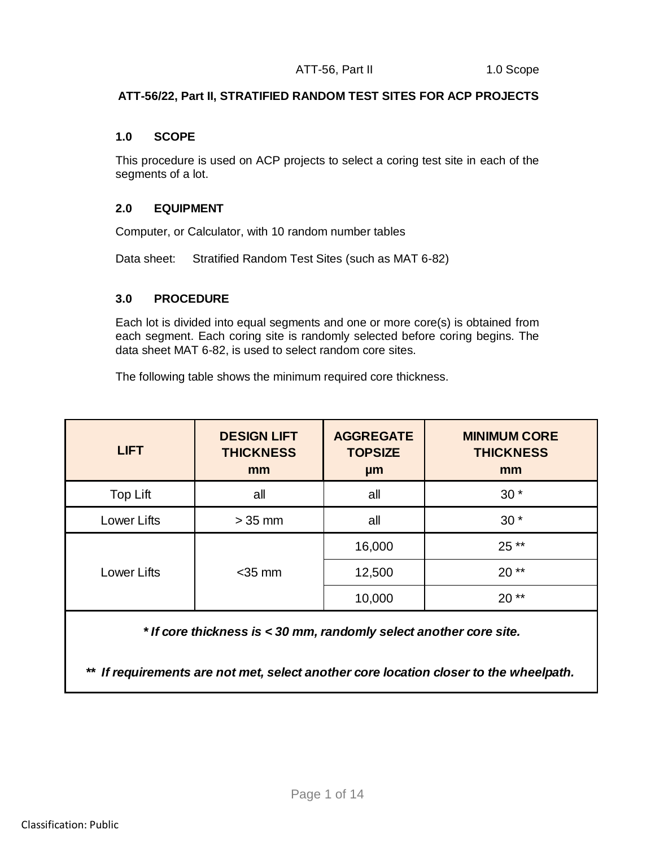## **ATT-56/22, Part II, STRATIFIED RANDOM TEST SITES FOR ACP PROJECTS**

#### **1.0 SCOPE**

This procedure is used on ACP projects to select a coring test site in each of the segments of a lot.

## **2.0 EQUIPMENT**

Computer, or Calculator, with 10 random number tables

Data sheet: Stratified Random Test Sites (such as MAT 6-82)

## **3.0 PROCEDURE**

Each lot is divided into equal segments and one or more core(s) is obtained from each segment. Each coring site is randomly selected before coring begins. The data sheet MAT 6-82, is used to select random core sites.

The following table shows the minimum required core thickness.

| <b>LIFT</b> | <b>DESIGN LIFT</b><br><b>THICKNESS</b><br>mm | <b>AGGREGATE</b><br><b>TOPSIZE</b><br>µm | <b>MINIMUM CORE</b><br><b>THICKNESS</b><br>mm |
|-------------|----------------------------------------------|------------------------------------------|-----------------------------------------------|
| Top Lift    | all                                          | all                                      | $30*$                                         |
| Lower Lifts | $>35$ mm                                     | all                                      | $30*$                                         |
|             |                                              | 16,000                                   | $25**$                                        |
| Lower Lifts | $<$ 35 mm                                    | 12,500                                   | $20**$                                        |
|             |                                              | 10,000                                   | $20**$                                        |

 *\* If core thickness is < 30 mm, randomly select another core site.*

*\*\* If requirements are not met, select another core location closer to the wheelpath.*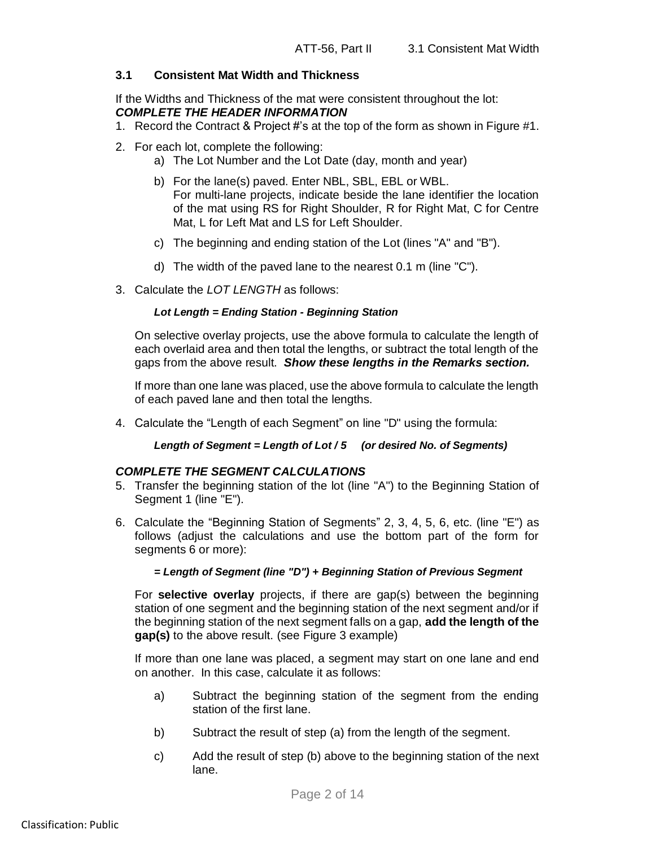# **3.1 Consistent Mat Width and Thickness**

If the Widths and Thickness of the mat were consistent throughout the lot: *COMPLETE THE HEADER INFORMATION*

- 1. Record the Contract & Project #'s at the top of the form as shown in Figure #1.
- 2. For each lot, complete the following:
	- a) The Lot Number and the Lot Date (day, month and year)
	- b) For the lane(s) paved. Enter NBL, SBL, EBL or WBL. For multi-lane projects, indicate beside the lane identifier the location of the mat using RS for Right Shoulder, R for Right Mat, C for Centre Mat, L for Left Mat and LS for Left Shoulder.
	- c) The beginning and ending station of the Lot (lines "A" and "B").
	- d) The width of the paved lane to the nearest 0.1 m (line "C").
- 3. Calculate the *LOT LENGTH* as follows:

## *Lot Length = Ending Station - Beginning Station*

On selective overlay projects, use the above formula to calculate the length of each overlaid area and then total the lengths, or subtract the total length of the gaps from the above result. *Show these lengths in the Remarks section.*

If more than one lane was placed, use the above formula to calculate the length of each paved lane and then total the lengths.

4. Calculate the "Length of each Segment" on line "D" using the formula:

*Length of Segment = Length of Lot / 5 (or desired No. of Segments)*

## *COMPLETE THE SEGMENT CALCULATIONS*

- 5. Transfer the beginning station of the lot (line "A") to the Beginning Station of Segment 1 (line "E").
- 6. Calculate the "Beginning Station of Segments" 2, 3, 4, 5, 6, etc. (line "E") as follows (adjust the calculations and use the bottom part of the form for segments 6 or more):

## *= Length of Segment (line "D") + Beginning Station of Previous Segment*

For **selective overlay** projects, if there are gap(s) between the beginning station of one segment and the beginning station of the next segment and/or if the beginning station of the next segment falls on a gap, **add the length of the gap(s)** to the above result. (see Figure 3 example)

If more than one lane was placed, a segment may start on one lane and end on another. In this case, calculate it as follows:

- a) Subtract the beginning station of the segment from the ending station of the first lane.
- b) Subtract the result of step (a) from the length of the segment.
- c) Add the result of step (b) above to the beginning station of the next lane.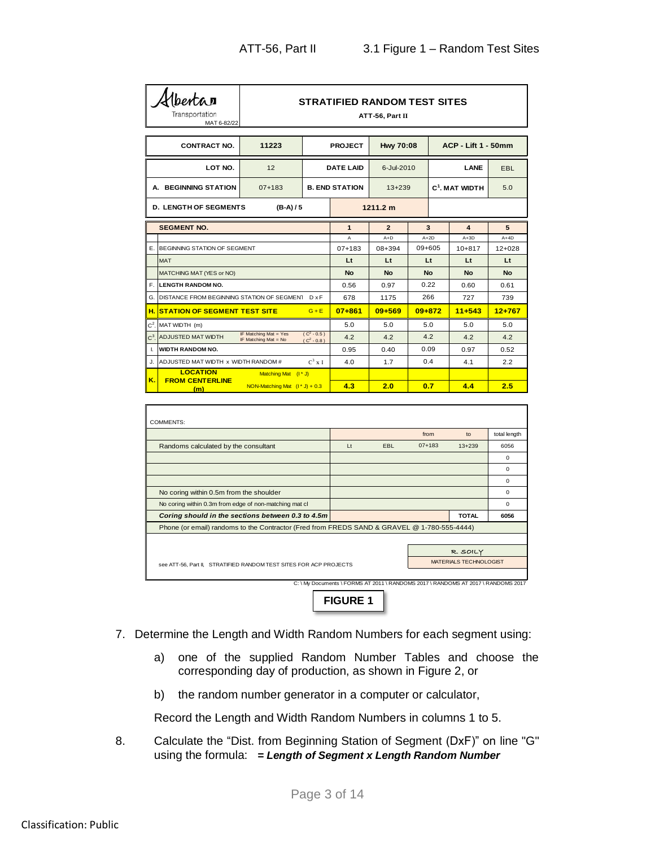|       | Mberta<br>Transportation<br>MAT 6-82/22    |                                                 |                               | <b>STRATIFIED RANDOM TEST SITES</b> | ATT-56, Part II  |            |            |                            |              |
|-------|--------------------------------------------|-------------------------------------------------|-------------------------------|-------------------------------------|------------------|------------|------------|----------------------------|--------------|
|       | <b>CONTRACT NO.</b>                        | 11223                                           |                               | <b>PROJECT</b>                      | <b>Hwy 70:08</b> |            |            | <b>ACP - Lift 1 - 50mm</b> |              |
|       | LOT NO.                                    | 12                                              |                               | <b>DATE LAID</b>                    | 6-Jul-2010       |            |            | LANE                       | <b>EBL</b>   |
|       | A. BEGINNING STATION                       | $07 + 183$                                      |                               | <b>B. END STATION</b>               | $13 + 239$       |            |            | $C1$ . MAT WIDTH           | 5.0          |
|       | <b>D. LENGTH OF SEGMENTS</b>               | $(B-A)/5$                                       |                               |                                     | 1211.2 m         |            |            |                            |              |
|       | <b>SEGMENT NO.</b>                         |                                                 |                               | $\mathbf{1}$                        | $\overline{2}$   | 3          |            | 4                          | 5            |
|       |                                            |                                                 |                               | A                                   | $A+D$            | $A+2D$     |            | $A+3D$                     | $A+4D$       |
| Е.    | BEGINNING STATION OF SEGMENT               |                                                 |                               | $07 + 183$                          | 08+394           | $09 + 605$ |            | $10 + 817$                 | $12 + 028$   |
|       | <b>MAT</b>                                 |                                                 |                               | Lt                                  | Lt               | Lt         |            | Lt                         | Lt           |
|       | MATCHING MAT (YES or NO)                   |                                                 |                               | <b>No</b>                           | <b>No</b>        | No         |            | <b>No</b>                  | <b>No</b>    |
| F.    | <b>LENGTH RANDOM NO.</b>                   |                                                 | 0.56                          | 0.97                                | 0.22             |            | 0.60       | 0.61                       |              |
| G.    | DISTANCE FROM BEGINNING STATION OF SEGMENT |                                                 | $D \times F$                  | 678                                 | 1175             | 266        |            | 727                        | 739          |
| н.    | <b>STATION OF SEGMENT TEST SITE</b>        |                                                 | $G + E$                       | $07 + 861$                          | $09 + 569$       | 09+872     |            | $11+543$                   | $12+767$     |
| $C^2$ | MAT WIDTH (m)                              |                                                 |                               | 5.0                                 | 5.0              | 5.0        |            | 5.0                        | 5.0          |
| $C^3$ | <b>ADJUSTED MAT WIDTH</b>                  | IF Matching Mat = Yes<br>IF Matching Mat = $No$ | $(C2 - 0.5)$<br>$(C^2 - 0.8)$ | 4.2                                 | 4.2              | 4.2        |            | 4.2                        | 4.2          |
| L.    | <b>WIDTH RANDOM NO.</b>                    |                                                 |                               | 0.95                                | 0.40             | 0.09       |            | 0.97                       | 0.52         |
| J.    | ADJUSTED MAT WIDTH x WIDTH RANDOM #        |                                                 | $C^3 \times I$                | 4.0                                 | 1.7              | 0.4        |            | 4.1                        | 2.2          |
|       | <b>LOCATION</b>                            | Matching Mat (I <sup>*</sup> J)                 |                               |                                     |                  |            |            |                            |              |
| Κ.    | <b>FROM CENTERLINE</b><br>(m)              | NON-Matching Mat $(l * J) + 0.3$                |                               | 4.3                                 | 2.0              | 0.7        |            | 4.4                        | 2.5          |
|       |                                            |                                                 |                               |                                     |                  |            |            |                            |              |
|       | COMMENTS:                                  |                                                 |                               |                                     |                  |            |            |                            |              |
|       |                                            |                                                 |                               |                                     |                  | from       |            | $t_{\Omega}$               | total length |
|       | Bandoma coloulated by the conquitant       |                                                 |                               | $\pm$                               | <b>CDI</b>       |            | $07 + 183$ | 12.220                     | C C E C      |

| COMMENTS:                                                                                   |                |                                                                                   |            |                        |              |
|---------------------------------------------------------------------------------------------|----------------|-----------------------------------------------------------------------------------|------------|------------------------|--------------|
|                                                                                             |                |                                                                                   | from       | to                     | total length |
| Randoms calculated by the consultant                                                        | L <sub>t</sub> | <b>EBL</b>                                                                        | $07 + 183$ | $13+239$               | 6056         |
|                                                                                             |                |                                                                                   |            |                        | 0            |
|                                                                                             |                |                                                                                   |            |                        | 0            |
|                                                                                             |                |                                                                                   |            |                        | $\Omega$     |
| No coring within 0.5m from the shoulder                                                     |                |                                                                                   |            |                        | $\Omega$     |
| No coring within 0.3m from edge of non-matching mat cl                                      |                |                                                                                   |            |                        | $\Omega$     |
|                                                                                             |                |                                                                                   |            |                        |              |
| Coring should in the sections between 0.3 to 4.5m                                           |                |                                                                                   |            | <b>TOTAL</b>           | 6056         |
| Phone (or email) randoms to the Contractor (Fred from FREDS SAND & GRAVEL @ 1-780-555-4444) |                |                                                                                   |            |                        |              |
|                                                                                             |                |                                                                                   |            |                        |              |
|                                                                                             |                |                                                                                   |            | R. SOILY               |              |
| see ATT-56, Part II, STRATIFIED RANDOM TEST SITES FOR ACP PROJECTS                          |                |                                                                                   |            | MATERIALS TECHNOLOGIST |              |
|                                                                                             |                |                                                                                   |            |                        |              |
|                                                                                             |                | C: \ My Documents \ FORMS AT 2011 \ RANDOMS 2017 \ RANDOMS AT 2017 \ RANDOMS 2017 |            |                        |              |

7. Determine the Length and Width Random Numbers for each segment using:

- a) one of the supplied Random Number Tables and choose the corresponding day of production, as shown in Figure 2, or
- b) the random number generator in a computer or calculator,

Record the Length and Width Random Numbers in columns 1 to 5.

8. Calculate the "Dist. from Beginning Station of Segment (DxF)" on line "G" using the formula: *= Length of Segment x Length Random Number*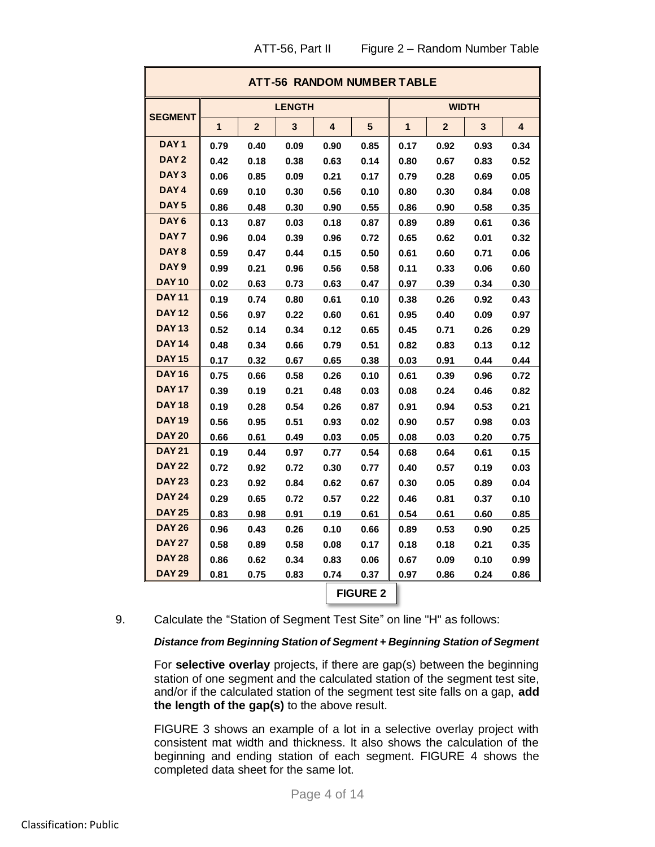| ATT-56, Part II | Figure 2 – Random Number Table |
|-----------------|--------------------------------|
|-----------------|--------------------------------|

|                                               |      |                | ATT-56 RANDOM NUMBER TABLE |      |                 |      |                |              |      |
|-----------------------------------------------|------|----------------|----------------------------|------|-----------------|------|----------------|--------------|------|
|                                               |      |                | <b>LENGTH</b>              |      |                 |      |                | <b>WIDTH</b> |      |
| <b>SEGMENT</b>                                | 1    | $\overline{2}$ | 3                          | 4    | 5               | 1    | $\overline{2}$ | 3            | 4    |
| DAY <sub>1</sub>                              | 0.79 | 0.40           | 0.09                       | 0.90 | 0.85            | 0.17 | 0.92           | 0.93         | 0.34 |
| DAY <sub>2</sub>                              | 0.42 | 0.18           | 0.38                       | 0.63 | 0.14            | 0.80 | 0.67           | 0.83         | 0.52 |
| DAY <sub>3</sub>                              | 0.06 | 0.85           | 0.09                       | 0.21 | 0.17            | 0.79 | 0.28           | 0.69         | 0.05 |
| DAY <sub>4</sub>                              | 0.69 | 0.10           | 0.30                       | 0.56 | 0.10            | 0.80 | 0.30           | 0.84         | 0.08 |
| DAY <sub>5</sub>                              | 0.86 | 0.48           | 0.30                       | 0.90 | 0.55            | 0.86 | 0.90           | 0.58         | 0.35 |
| DAY <sub>6</sub>                              | 0.13 | 0.87           | 0.03                       | 0.18 | 0.87            | 0.89 | 0.89           | 0.61         | 0.36 |
| DAY <sub>7</sub>                              | 0.96 | 0.04           | 0.39                       | 0.96 | 0.72            | 0.65 | 0.62           | 0.01         | 0.32 |
| DAY <sub>8</sub>                              | 0.59 | 0.47           | 0.44                       | 0.15 | 0.50            | 0.61 | 0.60           | 0.71         | 0.06 |
| DAY <sub>9</sub>                              | 0.99 | 0.21           | 0.96                       | 0.56 | 0.58            | 0.11 | 0.33           | 0.06         | 0.60 |
| <b>DAY 10</b>                                 | 0.02 | 0.63           | 0.73                       | 0.63 | 0.47            | 0.97 | 0.39           | 0.34         | 0.30 |
| <b>DAY 11</b>                                 | 0.19 | 0.74           | 0.80                       | 0.61 | 0.10            | 0.38 | 0.26           | 0.92         | 0.43 |
| <b>DAY 12</b>                                 | 0.56 | 0.97           | 0.22                       | 0.60 | 0.61            | 0.95 | 0.40           | 0.09         | 0.97 |
| <b>DAY 13</b>                                 | 0.52 | 0.14           | 0.34                       | 0.12 | 0.65            | 0.45 | 0.71           | 0.26         | 0.29 |
| <b>DAY 14</b>                                 | 0.48 | 0.34           | 0.66                       | 0.79 | 0.51            | 0.82 | 0.83           | 0.13         | 0.12 |
| <b>DAY 15</b>                                 | 0.17 | 0.32           | 0.67                       | 0.65 | 0.38            | 0.03 | 0.91           | 0.44         | 0.44 |
| <b>DAY 16</b>                                 | 0.75 | 0.66           | 0.58                       | 0.26 | 0.10            | 0.61 | 0.39           | 0.96         | 0.72 |
| <b>DAY 17</b><br>0.19<br>0.39<br>0.21<br>0.48 |      |                |                            |      | 0.03            | 0.08 | 0.24           | 0.46         | 0.82 |
| <b>DAY 18</b>                                 | 0.19 | 0.28           | 0.54                       | 0.26 | 0.87            | 0.91 | 0.94           | 0.53         | 0.21 |
| <b>DAY 19</b>                                 | 0.56 | 0.95           | 0.51                       | 0.93 | 0.02            | 0.90 | 0.57           | 0.98         | 0.03 |
| <b>DAY 20</b>                                 | 0.66 | 0.61           | 0.49                       | 0.03 | 0.05            | 0.08 | 0.03           | 0.20         | 0.75 |
| <b>DAY 21</b>                                 | 0.19 | 0.44           | 0.97                       | 0.77 | 0.54            | 0.68 | 0.64           | 0.61         | 0.15 |
| <b>DAY 22</b>                                 | 0.72 | 0.92           | 0.72                       | 0.30 | 0.77            | 0.40 | 0.57           | 0.19         | 0.03 |
| <b>DAY 23</b>                                 | 0.23 | 0.92           | 0.84                       | 0.62 | 0.67            | 0.30 | 0.05           | 0.89         | 0.04 |
| <b>DAY 24</b>                                 | 0.29 | 0.65           | 0.72                       | 0.57 | 0.22            | 0.46 | 0.81           | 0.37         | 0.10 |
| <b>DAY 25</b>                                 | 0.83 | 0.98           | 0.91                       | 0.19 | 0.61            | 0.54 | 0.61           | 0.60         | 0.85 |
| <b>DAY 26</b>                                 | 0.96 | 0.43           | 0.26                       | 0.10 | 0.66            | 0.89 | 0.53           | 0.90         | 0.25 |
| <b>DAY 27</b>                                 | 0.58 | 0.89           | 0.58                       | 0.08 | 0.17            | 0.18 | 0.18           | 0.21         | 0.35 |
| <b>DAY 28</b>                                 | 0.86 | 0.62           | 0.34                       | 0.83 | 0.06            | 0.67 | 0.09           | 0.10         | 0.99 |
| <b>DAY 29</b>                                 | 0.81 | 0.75           | 0.83                       | 0.74 | 0.37            | 0.97 | 0.86           | 0.24         | 0.86 |
|                                               |      |                |                            |      | <b>FIGURE 2</b> |      |                |              |      |

#### 9. Calculate the "Station of Segment Test Site" on line "H" as follows:

#### *Distance from Beginning Station of Segment + Beginning Station of Segment*

For **selective overlay** projects, if there are gap(s) between the beginning station of one segment and the calculated station of the segment test site, and/or if the calculated station of the segment test site falls on a gap, **add the length of the gap(s)** to the above result.

FIGURE 3 shows an example of a lot in a selective overlay project with consistent mat width and thickness. It also shows the calculation of the beginning and ending station of each segment. FIGURE 4 shows the completed data sheet for the same lot.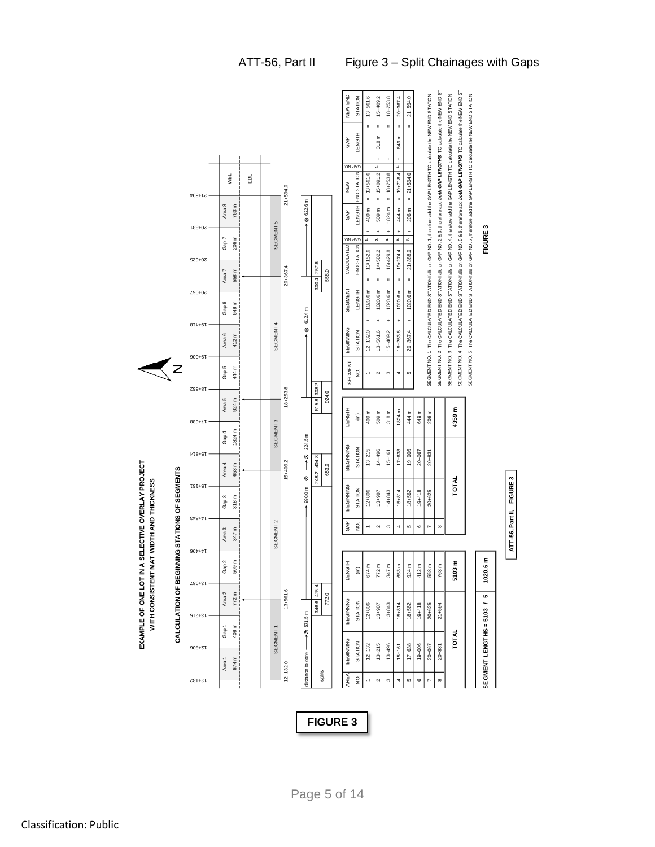| SEGMENT NO. 4 The CALCULATED END STATION falls on GAP NO. 5 & 6, therefore add both GAP LENGTHS TO calculate the NEW END ST<br>SEGMENT NO. 2 The CALCULATED END STATION falls on GAP NO. 2 & 3, therefore and both GAP LENGTHS TO calculate the NEW END ST<br>SEGMENT NO. 3 The CALCULATED END STATION falls on GAP NO. 4, therefore add the GAP LENGTHTO calculate the NEW END STATION<br>SEGMENT NO. 1 The CALCULATED END STATION falls on GAP NO. 1, therefore add the GAP LENGTHTO calculate the NEW END STATION<br>SEGMENT NO. 5 The CALCULATED END STATION falls on GAP NO. 7, therefore add the GAP LENGTHTO calculate the NEW END STATION<br>NEW END<br>$13+561.6$<br>18+253.8<br>20+367.4<br>$21 + 594.0$<br>15+409.2<br>STATION<br><b>HSM3T</b><br>318 m<br>ε<br>GAP<br>649<br>$\ddot{}$<br>$\ddot{}$<br>÷<br>$\ddot{}$<br>$\ddot{}$<br>ON 9AD<br>ń<br>c,<br>END STATION<br>15+091.2<br>$19 + 718.4$<br>$13+561.6$<br>18+253.8<br>$21 + 594.0$<br><b>NBL</b><br>EBL<br>NEW<br>$21 + 594.0$<br><b>71+594</b><br>$\mathsf{II}%$<br>$\mathsf{I}$<br>⊗ 622.6 m<br>Area <sub>8</sub><br>763 m<br>LENGTH<br>1824 m<br>409 m<br>206 m<br>509 m<br>444 m<br>GAP<br>SEGMENT5<br>FIGURE <sub>3</sub><br>20+831<br>$\ddot{}$<br>$\begin{array}{c} + \end{array}$<br>$\ddot{}$<br>$\ddot{}$<br>$\ddot{}$<br>r.<br>206 m<br>÷<br>$\mathbf{a}$<br>4<br>uś<br>Gap 7<br>ON 9AD<br>CALCULATED<br>END STATION<br>$21 + 388.0$<br>$13 + 152.6$<br>16+429.8<br>$19 + 274.4$<br>14+582.2<br>20+625<br>300.4 257.6<br>20+367.4<br>558 m<br>Area <sub>7</sub><br>558.0<br>Ш<br>II.<br>$\mathbf{I}$<br>Ш<br>Ш<br>SEGMENT<br>20+00<br>1020.6 m<br>1020.6 m<br>1020.6 m<br>1020.6 m<br>1020.6 m<br><b>HLPMET</b><br>649 m<br>Gap 6<br>⊗ 612.4 m<br>$\begin{array}{c} + \end{array}$<br>$\ddot{}$<br>$\ddot{}$<br>$\ddot{}$<br>$\ddot{}$<br>SEGMENT4<br>$8L+6L$<br>BEGINNING<br>$20 + 367.4$<br>STATION<br>$12 + 132.0$<br>13+561.6<br>15+409.2<br>18+253.8<br>Area 6<br>412 m<br>$900 + 61$<br>SEGMENT<br>444 m<br>Gap 5<br>$\rm \frac{O}{Z}$<br>$\mathbf{\Omega}$<br>S<br>4<br>5<br>615.8 308.2<br>18+253.8<br>18+562<br>924.0<br>Area 5<br>924 m<br>4359 m<br><b>LENGTH</b><br>1824 m<br>409 m<br>509 m<br>318 m<br>444 m<br>206 m<br>649 m<br>$\widehat{\boldsymbol{\epsilon}}$<br>SEGMENT <sub>3</sub><br>8E9+71<br>1824 m<br>Gap 4<br>224.5 m<br>BEGINNING<br>STATION<br>$13 + 215$<br>19+006<br>14+496<br>$17+638$<br>$15+161$<br>20+067<br>$20 + 831$<br><b>418+81</b><br>⊗<br>↑<br>248.2 404.8<br>15+409.2<br>653 m<br>Area 4<br>653.0<br>NG STATIONS OF SEGMENTS<br>Ø<br>ATT-56, Part II, FIGURE 3<br>TOTAL<br>rar+ar<br>BEGINNING<br>$+990.0 m$<br>STATION<br>14+843<br>$19+418$<br>20+625<br>$12 + 806$<br>15+814<br>13+987<br>18+562<br>318 m<br>Gap 3<br>$548 + 1$<br>SEGMENT <sub>2</sub><br>GAP<br>$\rm \frac{O}{Z}$<br>$\infty$<br>$\mathbf{\Omega}$<br>S<br>Б<br>$\mathbf \Omega$<br>4<br>N<br>Area <sub>3</sub><br>347 m<br>96t+tl<br>1020.6 m<br>CALCULATION OF BEGINNI<br>509 m<br>Gap 2<br>5103 m<br>LENGTH<br>674 m<br>763 m<br>772 m<br>347 m<br>653 m<br>924 m<br>412 m<br>558 m<br>$\widehat{\mathsf{E}}$<br>13+987<br>346.6 425.4<br>13+561.6<br>Area 2<br>772 m<br>772.0<br>LO<br>BEGINNING<br>STATION<br>∽<br>$19+418$<br>$12 + 806$<br>13+843<br>$15 + 814$<br>20+625<br>$21 + 594$<br>18+562<br>13+987<br>SEGMENT LENGTHS = 5103<br>$-88571.5 m$<br>13+215<br>409 m<br>Gap 1<br>SEGMENT1<br><b>TOTAL</b><br>BEGINNING<br>STATION<br>$13 + 215$<br>13+496<br>$17+638$<br>19+006<br>$20 + 831$<br>$12 + 132$<br>20+067<br>$15+161$<br>$308 + 71$<br>distance to core<br>674 m<br>Area <sub>1</sub><br>$12 + 132.0$<br>splits<br><b>AREA</b><br>$\infty$<br>S<br>S<br>$\pmb{\circ}$<br>12+132<br>$\mathbf{\Omega}$<br>4<br>N |               |  | EXAMPLE OF ONE LOT IN A S<br>WITH CONSISTENT MAT |  | ELECTIVE OVERLAY PROJECT<br>WIDTH AND THICKNESS |  |  |  |  |  |  |  |  |
|-----------------------------------------------------------------------------------------------------------------------------------------------------------------------------------------------------------------------------------------------------------------------------------------------------------------------------------------------------------------------------------------------------------------------------------------------------------------------------------------------------------------------------------------------------------------------------------------------------------------------------------------------------------------------------------------------------------------------------------------------------------------------------------------------------------------------------------------------------------------------------------------------------------------------------------------------------------------------------------------------------------------------------------------------------------------------------------------------------------------------------------------------------------------------------------------------------------------------------------------------------------------------------------------------------------------------------------------------------------------------------------------------------------------------------------------------------------------------------------------------------------------------------------------------------------------------------------------------------------------------------------------------------------------------------------------------------------------------------------------------------------------------------------------------------------------------------------------------------------------------------------------------------------------------------------------------------------------------------------------------------------------------------------------------------------------------------------------------------------------------------------------------------------------------------------------------------------------------------------------------------------------------------------------------------------------------------------------------------------------------------------------------------------------------------------------------------------------------------------------------------------------------------------------------------------------------------------------------------------------------------------------------------------------------------------------------------------------------------------------------------------------------------------------------------------------------------------------------------------------------------------------------------------------------------------------------------------------------------------------------------------------------------------------------------------------------------------------------------------------------------------------------------------------------------------------------------------------------------------------------------------------------------------------------------------------------------------------------------------------------------------------------------------------------------------------------------------------------------------------------------------------------------------------------------------------------------------------------------------------------------------------------------------------------------------------------------------------------------------------|---------------|--|--------------------------------------------------|--|-------------------------------------------------|--|--|--|--|--|--|--|--|
|                                                                                                                                                                                                                                                                                                                                                                                                                                                                                                                                                                                                                                                                                                                                                                                                                                                                                                                                                                                                                                                                                                                                                                                                                                                                                                                                                                                                                                                                                                                                                                                                                                                                                                                                                                                                                                                                                                                                                                                                                                                                                                                                                                                                                                                                                                                                                                                                                                                                                                                                                                                                                                                                                                                                                                                                                                                                                                                                                                                                                                                                                                                                                                                                                                                                                                                                                                                                                                                                                                                                                                                                                                                                                                                                         |               |  |                                                  |  |                                                 |  |  |  |  |  |  |  |  |
|                                                                                                                                                                                                                                                                                                                                                                                                                                                                                                                                                                                                                                                                                                                                                                                                                                                                                                                                                                                                                                                                                                                                                                                                                                                                                                                                                                                                                                                                                                                                                                                                                                                                                                                                                                                                                                                                                                                                                                                                                                                                                                                                                                                                                                                                                                                                                                                                                                                                                                                                                                                                                                                                                                                                                                                                                                                                                                                                                                                                                                                                                                                                                                                                                                                                                                                                                                                                                                                                                                                                                                                                                                                                                                                                         |               |  |                                                  |  |                                                 |  |  |  |  |  |  |  |  |
|                                                                                                                                                                                                                                                                                                                                                                                                                                                                                                                                                                                                                                                                                                                                                                                                                                                                                                                                                                                                                                                                                                                                                                                                                                                                                                                                                                                                                                                                                                                                                                                                                                                                                                                                                                                                                                                                                                                                                                                                                                                                                                                                                                                                                                                                                                                                                                                                                                                                                                                                                                                                                                                                                                                                                                                                                                                                                                                                                                                                                                                                                                                                                                                                                                                                                                                                                                                                                                                                                                                                                                                                                                                                                                                                         |               |  |                                                  |  |                                                 |  |  |  |  |  |  |  |  |
|                                                                                                                                                                                                                                                                                                                                                                                                                                                                                                                                                                                                                                                                                                                                                                                                                                                                                                                                                                                                                                                                                                                                                                                                                                                                                                                                                                                                                                                                                                                                                                                                                                                                                                                                                                                                                                                                                                                                                                                                                                                                                                                                                                                                                                                                                                                                                                                                                                                                                                                                                                                                                                                                                                                                                                                                                                                                                                                                                                                                                                                                                                                                                                                                                                                                                                                                                                                                                                                                                                                                                                                                                                                                                                                                         |               |  |                                                  |  |                                                 |  |  |  |  |  |  |  |  |
|                                                                                                                                                                                                                                                                                                                                                                                                                                                                                                                                                                                                                                                                                                                                                                                                                                                                                                                                                                                                                                                                                                                                                                                                                                                                                                                                                                                                                                                                                                                                                                                                                                                                                                                                                                                                                                                                                                                                                                                                                                                                                                                                                                                                                                                                                                                                                                                                                                                                                                                                                                                                                                                                                                                                                                                                                                                                                                                                                                                                                                                                                                                                                                                                                                                                                                                                                                                                                                                                                                                                                                                                                                                                                                                                         | ì             |  |                                                  |  |                                                 |  |  |  |  |  |  |  |  |
|                                                                                                                                                                                                                                                                                                                                                                                                                                                                                                                                                                                                                                                                                                                                                                                                                                                                                                                                                                                                                                                                                                                                                                                                                                                                                                                                                                                                                                                                                                                                                                                                                                                                                                                                                                                                                                                                                                                                                                                                                                                                                                                                                                                                                                                                                                                                                                                                                                                                                                                                                                                                                                                                                                                                                                                                                                                                                                                                                                                                                                                                                                                                                                                                                                                                                                                                                                                                                                                                                                                                                                                                                                                                                                                                         |               |  |                                                  |  |                                                 |  |  |  |  |  |  |  |  |
|                                                                                                                                                                                                                                                                                                                                                                                                                                                                                                                                                                                                                                                                                                                                                                                                                                                                                                                                                                                                                                                                                                                                                                                                                                                                                                                                                                                                                                                                                                                                                                                                                                                                                                                                                                                                                                                                                                                                                                                                                                                                                                                                                                                                                                                                                                                                                                                                                                                                                                                                                                                                                                                                                                                                                                                                                                                                                                                                                                                                                                                                                                                                                                                                                                                                                                                                                                                                                                                                                                                                                                                                                                                                                                                                         |               |  |                                                  |  |                                                 |  |  |  |  |  |  |  |  |
|                                                                                                                                                                                                                                                                                                                                                                                                                                                                                                                                                                                                                                                                                                                                                                                                                                                                                                                                                                                                                                                                                                                                                                                                                                                                                                                                                                                                                                                                                                                                                                                                                                                                                                                                                                                                                                                                                                                                                                                                                                                                                                                                                                                                                                                                                                                                                                                                                                                                                                                                                                                                                                                                                                                                                                                                                                                                                                                                                                                                                                                                                                                                                                                                                                                                                                                                                                                                                                                                                                                                                                                                                                                                                                                                         |               |  |                                                  |  |                                                 |  |  |  |  |  |  |  |  |
|                                                                                                                                                                                                                                                                                                                                                                                                                                                                                                                                                                                                                                                                                                                                                                                                                                                                                                                                                                                                                                                                                                                                                                                                                                                                                                                                                                                                                                                                                                                                                                                                                                                                                                                                                                                                                                                                                                                                                                                                                                                                                                                                                                                                                                                                                                                                                                                                                                                                                                                                                                                                                                                                                                                                                                                                                                                                                                                                                                                                                                                                                                                                                                                                                                                                                                                                                                                                                                                                                                                                                                                                                                                                                                                                         |               |  |                                                  |  |                                                 |  |  |  |  |  |  |  |  |
|                                                                                                                                                                                                                                                                                                                                                                                                                                                                                                                                                                                                                                                                                                                                                                                                                                                                                                                                                                                                                                                                                                                                                                                                                                                                                                                                                                                                                                                                                                                                                                                                                                                                                                                                                                                                                                                                                                                                                                                                                                                                                                                                                                                                                                                                                                                                                                                                                                                                                                                                                                                                                                                                                                                                                                                                                                                                                                                                                                                                                                                                                                                                                                                                                                                                                                                                                                                                                                                                                                                                                                                                                                                                                                                                         |               |  |                                                  |  |                                                 |  |  |  |  |  |  |  |  |
|                                                                                                                                                                                                                                                                                                                                                                                                                                                                                                                                                                                                                                                                                                                                                                                                                                                                                                                                                                                                                                                                                                                                                                                                                                                                                                                                                                                                                                                                                                                                                                                                                                                                                                                                                                                                                                                                                                                                                                                                                                                                                                                                                                                                                                                                                                                                                                                                                                                                                                                                                                                                                                                                                                                                                                                                                                                                                                                                                                                                                                                                                                                                                                                                                                                                                                                                                                                                                                                                                                                                                                                                                                                                                                                                         |               |  |                                                  |  |                                                 |  |  |  |  |  |  |  |  |
|                                                                                                                                                                                                                                                                                                                                                                                                                                                                                                                                                                                                                                                                                                                                                                                                                                                                                                                                                                                                                                                                                                                                                                                                                                                                                                                                                                                                                                                                                                                                                                                                                                                                                                                                                                                                                                                                                                                                                                                                                                                                                                                                                                                                                                                                                                                                                                                                                                                                                                                                                                                                                                                                                                                                                                                                                                                                                                                                                                                                                                                                                                                                                                                                                                                                                                                                                                                                                                                                                                                                                                                                                                                                                                                                         |               |  |                                                  |  |                                                 |  |  |  |  |  |  |  |  |
|                                                                                                                                                                                                                                                                                                                                                                                                                                                                                                                                                                                                                                                                                                                                                                                                                                                                                                                                                                                                                                                                                                                                                                                                                                                                                                                                                                                                                                                                                                                                                                                                                                                                                                                                                                                                                                                                                                                                                                                                                                                                                                                                                                                                                                                                                                                                                                                                                                                                                                                                                                                                                                                                                                                                                                                                                                                                                                                                                                                                                                                                                                                                                                                                                                                                                                                                                                                                                                                                                                                                                                                                                                                                                                                                         | $\rm \dot{g}$ |  |                                                  |  |                                                 |  |  |  |  |  |  |  |  |
|                                                                                                                                                                                                                                                                                                                                                                                                                                                                                                                                                                                                                                                                                                                                                                                                                                                                                                                                                                                                                                                                                                                                                                                                                                                                                                                                                                                                                                                                                                                                                                                                                                                                                                                                                                                                                                                                                                                                                                                                                                                                                                                                                                                                                                                                                                                                                                                                                                                                                                                                                                                                                                                                                                                                                                                                                                                                                                                                                                                                                                                                                                                                                                                                                                                                                                                                                                                                                                                                                                                                                                                                                                                                                                                                         |               |  |                                                  |  |                                                 |  |  |  |  |  |  |  |  |
|                                                                                                                                                                                                                                                                                                                                                                                                                                                                                                                                                                                                                                                                                                                                                                                                                                                                                                                                                                                                                                                                                                                                                                                                                                                                                                                                                                                                                                                                                                                                                                                                                                                                                                                                                                                                                                                                                                                                                                                                                                                                                                                                                                                                                                                                                                                                                                                                                                                                                                                                                                                                                                                                                                                                                                                                                                                                                                                                                                                                                                                                                                                                                                                                                                                                                                                                                                                                                                                                                                                                                                                                                                                                                                                                         |               |  |                                                  |  |                                                 |  |  |  |  |  |  |  |  |
|                                                                                                                                                                                                                                                                                                                                                                                                                                                                                                                                                                                                                                                                                                                                                                                                                                                                                                                                                                                                                                                                                                                                                                                                                                                                                                                                                                                                                                                                                                                                                                                                                                                                                                                                                                                                                                                                                                                                                                                                                                                                                                                                                                                                                                                                                                                                                                                                                                                                                                                                                                                                                                                                                                                                                                                                                                                                                                                                                                                                                                                                                                                                                                                                                                                                                                                                                                                                                                                                                                                                                                                                                                                                                                                                         |               |  |                                                  |  |                                                 |  |  |  |  |  |  |  |  |
|                                                                                                                                                                                                                                                                                                                                                                                                                                                                                                                                                                                                                                                                                                                                                                                                                                                                                                                                                                                                                                                                                                                                                                                                                                                                                                                                                                                                                                                                                                                                                                                                                                                                                                                                                                                                                                                                                                                                                                                                                                                                                                                                                                                                                                                                                                                                                                                                                                                                                                                                                                                                                                                                                                                                                                                                                                                                                                                                                                                                                                                                                                                                                                                                                                                                                                                                                                                                                                                                                                                                                                                                                                                                                                                                         |               |  |                                                  |  |                                                 |  |  |  |  |  |  |  |  |
|                                                                                                                                                                                                                                                                                                                                                                                                                                                                                                                                                                                                                                                                                                                                                                                                                                                                                                                                                                                                                                                                                                                                                                                                                                                                                                                                                                                                                                                                                                                                                                                                                                                                                                                                                                                                                                                                                                                                                                                                                                                                                                                                                                                                                                                                                                                                                                                                                                                                                                                                                                                                                                                                                                                                                                                                                                                                                                                                                                                                                                                                                                                                                                                                                                                                                                                                                                                                                                                                                                                                                                                                                                                                                                                                         |               |  |                                                  |  |                                                 |  |  |  |  |  |  |  |  |
|                                                                                                                                                                                                                                                                                                                                                                                                                                                                                                                                                                                                                                                                                                                                                                                                                                                                                                                                                                                                                                                                                                                                                                                                                                                                                                                                                                                                                                                                                                                                                                                                                                                                                                                                                                                                                                                                                                                                                                                                                                                                                                                                                                                                                                                                                                                                                                                                                                                                                                                                                                                                                                                                                                                                                                                                                                                                                                                                                                                                                                                                                                                                                                                                                                                                                                                                                                                                                                                                                                                                                                                                                                                                                                                                         |               |  |                                                  |  |                                                 |  |  |  |  |  |  |  |  |
|                                                                                                                                                                                                                                                                                                                                                                                                                                                                                                                                                                                                                                                                                                                                                                                                                                                                                                                                                                                                                                                                                                                                                                                                                                                                                                                                                                                                                                                                                                                                                                                                                                                                                                                                                                                                                                                                                                                                                                                                                                                                                                                                                                                                                                                                                                                                                                                                                                                                                                                                                                                                                                                                                                                                                                                                                                                                                                                                                                                                                                                                                                                                                                                                                                                                                                                                                                                                                                                                                                                                                                                                                                                                                                                                         |               |  |                                                  |  |                                                 |  |  |  |  |  |  |  |  |
|                                                                                                                                                                                                                                                                                                                                                                                                                                                                                                                                                                                                                                                                                                                                                                                                                                                                                                                                                                                                                                                                                                                                                                                                                                                                                                                                                                                                                                                                                                                                                                                                                                                                                                                                                                                                                                                                                                                                                                                                                                                                                                                                                                                                                                                                                                                                                                                                                                                                                                                                                                                                                                                                                                                                                                                                                                                                                                                                                                                                                                                                                                                                                                                                                                                                                                                                                                                                                                                                                                                                                                                                                                                                                                                                         |               |  |                                                  |  |                                                 |  |  |  |  |  |  |  |  |
|                                                                                                                                                                                                                                                                                                                                                                                                                                                                                                                                                                                                                                                                                                                                                                                                                                                                                                                                                                                                                                                                                                                                                                                                                                                                                                                                                                                                                                                                                                                                                                                                                                                                                                                                                                                                                                                                                                                                                                                                                                                                                                                                                                                                                                                                                                                                                                                                                                                                                                                                                                                                                                                                                                                                                                                                                                                                                                                                                                                                                                                                                                                                                                                                                                                                                                                                                                                                                                                                                                                                                                                                                                                                                                                                         |               |  |                                                  |  |                                                 |  |  |  |  |  |  |  |  |
|                                                                                                                                                                                                                                                                                                                                                                                                                                                                                                                                                                                                                                                                                                                                                                                                                                                                                                                                                                                                                                                                                                                                                                                                                                                                                                                                                                                                                                                                                                                                                                                                                                                                                                                                                                                                                                                                                                                                                                                                                                                                                                                                                                                                                                                                                                                                                                                                                                                                                                                                                                                                                                                                                                                                                                                                                                                                                                                                                                                                                                                                                                                                                                                                                                                                                                                                                                                                                                                                                                                                                                                                                                                                                                                                         |               |  |                                                  |  |                                                 |  |  |  |  |  |  |  |  |
|                                                                                                                                                                                                                                                                                                                                                                                                                                                                                                                                                                                                                                                                                                                                                                                                                                                                                                                                                                                                                                                                                                                                                                                                                                                                                                                                                                                                                                                                                                                                                                                                                                                                                                                                                                                                                                                                                                                                                                                                                                                                                                                                                                                                                                                                                                                                                                                                                                                                                                                                                                                                                                                                                                                                                                                                                                                                                                                                                                                                                                                                                                                                                                                                                                                                                                                                                                                                                                                                                                                                                                                                                                                                                                                                         |               |  |                                                  |  |                                                 |  |  |  |  |  |  |  |  |
|                                                                                                                                                                                                                                                                                                                                                                                                                                                                                                                                                                                                                                                                                                                                                                                                                                                                                                                                                                                                                                                                                                                                                                                                                                                                                                                                                                                                                                                                                                                                                                                                                                                                                                                                                                                                                                                                                                                                                                                                                                                                                                                                                                                                                                                                                                                                                                                                                                                                                                                                                                                                                                                                                                                                                                                                                                                                                                                                                                                                                                                                                                                                                                                                                                                                                                                                                                                                                                                                                                                                                                                                                                                                                                                                         |               |  |                                                  |  |                                                 |  |  |  |  |  |  |  |  |

**FIGURE 3**

**ATT-56, Part II, FIGURE 3**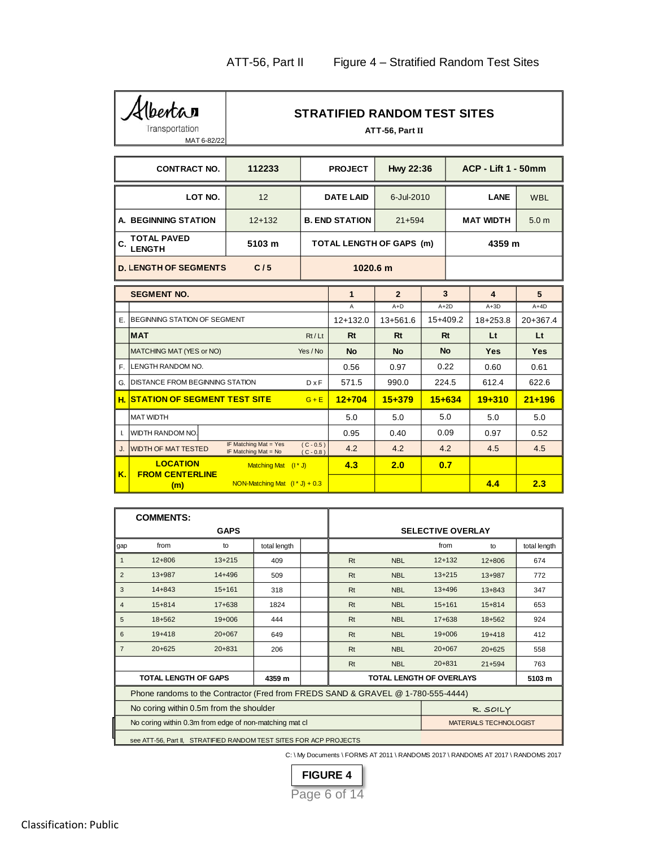Albertan MAT 6-82/22

# **STRATIFIED RANDOM TEST SITES**

|                     | Transportation<br>MAT 6-82/22          |                                               |                            |                       | ATT-56, Part II          |            |                            |                  |
|---------------------|----------------------------------------|-----------------------------------------------|----------------------------|-----------------------|--------------------------|------------|----------------------------|------------------|
|                     | <b>CONTRACT NO.</b>                    | 112233                                        |                            | <b>PROJECT</b>        | Hwy 22:36                |            | <b>ACP - Lift 1 - 50mm</b> |                  |
|                     | LOT NO.                                | 12                                            |                            | <b>DATE LAID</b>      | 6-Jul-2010               |            | <b>LANE</b>                | <b>WBL</b>       |
|                     | A. BEGINNING STATION                   | $12+132$                                      |                            | <b>B. END STATION</b> | $21 + 594$               |            | <b>MAT WIDTH</b>           | 5.0 <sub>m</sub> |
| C.                  | <b>TOTAL PAVED</b><br><b>LENGTH</b>    | 5103 m                                        |                            |                       | TOTAL LENGTH OF GAPS (m) |            | 4359 m                     |                  |
|                     | <b>D. LENGTH OF SEGMENTS</b>           | C/5                                           |                            | 1020.6 m              |                          |            |                            |                  |
|                     | <b>SEGMENT NO.</b>                     |                                               |                            | $\mathbf{1}$          | $\overline{2}$           | 3          | 4                          | 5                |
|                     |                                        |                                               |                            | A                     | $A+D$                    | $A+2D$     | $A+3D$                     | $A+4D$           |
|                     | F BEGINNING STATION OF SEGMENT         |                                               |                            | $12+132.0$            | $13 + 561.6$             | 15+409.2   | $18 + 253.8$               | 20+367.4         |
| <b>MAT</b><br>Rt/Lt |                                        |                                               |                            | <b>Rt</b>             | Rt                       | Rt         | Lt                         | <b>Lt</b>        |
|                     | MATCHING MAT (YES or NO)               |                                               | Yes / No                   | <b>No</b>             | <b>No</b>                | <b>No</b>  | <b>Yes</b>                 | <b>Yes</b>       |
| E.                  | LENGTH RANDOM NO.                      |                                               |                            | 0.56                  | 0.97                     | 0.22       | 0.60                       | 0.61             |
| G.                  | <b>DISTANCE FROM BEGINNING STATION</b> |                                               | $D \times F$               | 571.5                 | 990.0                    | 224.5      | 612.4                      | 622.6            |
|                     | <b>H. STATION OF SEGMENT TEST SITE</b> |                                               | $G + E$                    | $12 + 704$            | $15 + 379$               | $15 + 634$ | $19 + 310$                 | $21 + 196$       |
|                     | <b>MAT WIDTH</b>                       |                                               |                            | 5.0                   | 5.0                      | 5.0        | 5.0                        | 5.0              |
| Ι.                  | WIDTH RANDOM NO.                       |                                               |                            | 0.95                  | 0.40                     | 0.09       | 0.97                       | 0.52             |
| J.                  | <b>WIDTH OF MAT TESTED</b>             | IF Matching Mat = Yes<br>IF Matching Mat = No | $(C - 0.5)$<br>$(C - 0.8)$ | 4.2                   | 4.2                      | 4.2        | 4.5                        | 4.5              |
|                     | <b>LOCATION</b>                        | Matching Mat $(1 * J)$                        |                            | 4.3                   | 2.0                      | 0.7        |                            |                  |
| K.                  | <b>FROM CENTERLINE</b><br>(m)          | NON-Matching Mat $(1 * J) + 0.3$              |                            |                       |                          |            | 4.4                        | 2.3              |

|                | <b>COMMENTS:</b>                                                                 |                                              |              |    |            |                                 |                               |              |
|----------------|----------------------------------------------------------------------------------|----------------------------------------------|--------------|----|------------|---------------------------------|-------------------------------|--------------|
|                |                                                                                  | <b>GAPS</b>                                  |              |    |            | <b>SELECTIVE OVERLAY</b>        |                               |              |
| gap            | from                                                                             | to                                           | total length |    |            | from                            | to                            | total length |
| $\overline{1}$ | $12 + 806$                                                                       | $13 + 215$                                   | 409          | Rt | <b>NBL</b> | $12+132$                        | $12 + 806$                    | 674          |
| $\overline{2}$ | $13 + 987$                                                                       | $14 + 496$                                   | 509          | Rt | <b>NBL</b> | $13+215$                        | $13 + 987$                    | 772          |
| 3              | $14 + 843$                                                                       | $15+161$                                     | 318          | Rt | <b>NBL</b> | $13+496$                        | $13 + 843$                    | 347          |
| $\overline{4}$ | $15 + 814$                                                                       | $17 + 638$                                   | 1824         | Rt | <b>NBL</b> | $15+161$                        | $15 + 814$                    | 653          |
| 5              | 18+562                                                                           | $19+006$                                     | 444          | Rt | <b>NBL</b> | $17 + 638$                      | 18+562                        | 924          |
| 6              | $19+418$                                                                         | $20+067$                                     | 649          | Rt | <b>NBL</b> | $19+006$                        | $19+418$                      | 412          |
| $\overline{7}$ | $20+625$                                                                         | $20 + 831$                                   | 206          | Rt | <b>NBL</b> | $20+067$                        | $20+625$                      | 558          |
|                |                                                                                  |                                              |              | Rt | <b>NBL</b> | $20 + 831$                      | $21 + 594$                    | 763          |
|                | <b>TOTAL LENGTH OF GAPS</b>                                                      |                                              | 4359 m       |    |            | <b>TOTAL LENGTH OF OVERLAYS</b> |                               | 5103 m       |
|                | Phone randoms to the Contractor (Fred from FREDS SAND & GRAVEL @ 1-780-555-4444) |                                              |              |    |            |                                 |                               |              |
|                | No coring within 0.5m from the shoulder                                          |                                              |              |    |            |                                 | R. SOILY                      |              |
|                | No coring within 0.3m from edge of non-matching mat cl                           |                                              |              |    |            |                                 | <b>MATERIALS TECHNOLOGIST</b> |              |
|                |                                                                                  | ATD ITIER BAURANTERT AITER FOR ACRIBBO IFOTO |              |    |            |                                 |                               |              |

see ATT-56, Part II, STRATIFIED RANDOM TEST SITES FOR ACP PROJECTS

C: \ My Documents \ FORMS AT 2011 \ RANDOMS 2017 \ RANDOMS AT 2017 \ RANDOMS 2017

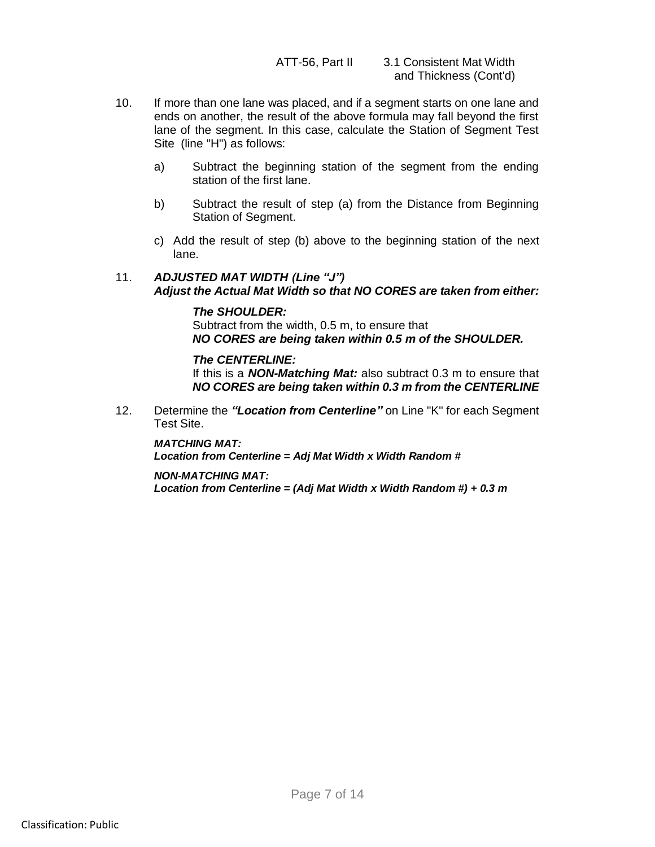- 10. If more than one lane was placed, and if a segment starts on one lane and ends on another, the result of the above formula may fall beyond the first lane of the segment. In this case, calculate the Station of Segment Test Site (line "H") as follows:
	- a) Subtract the beginning station of the segment from the ending station of the first lane.
	- b) Subtract the result of step (a) from the Distance from Beginning Station of Segment.
	- c) Add the result of step (b) above to the beginning station of the next lane.

# 11. *ADJUSTED MAT WIDTH (Line "J") Adjust the Actual Mat Width so that NO CORES are taken from either:*

## *The SHOULDER:*

Subtract from the width, 0.5 m, to ensure that *NO CORES are being taken within 0.5 m of the SHOULDER.*

## *The CENTERLINE:*

If this is a *NON-Matching Mat:* also subtract 0.3 m to ensure that *NO CORES are being taken within 0.3 m from the CENTERLINE*

12. Determine the *"Location from Centerline"* on Line "K" for each Segment Test Site.

*MATCHING MAT: Location from Centerline = Adj Mat Width x Width Random #*

*NON-MATCHING MAT: Location from Centerline = (Adj Mat Width x Width Random #) + 0.3 m*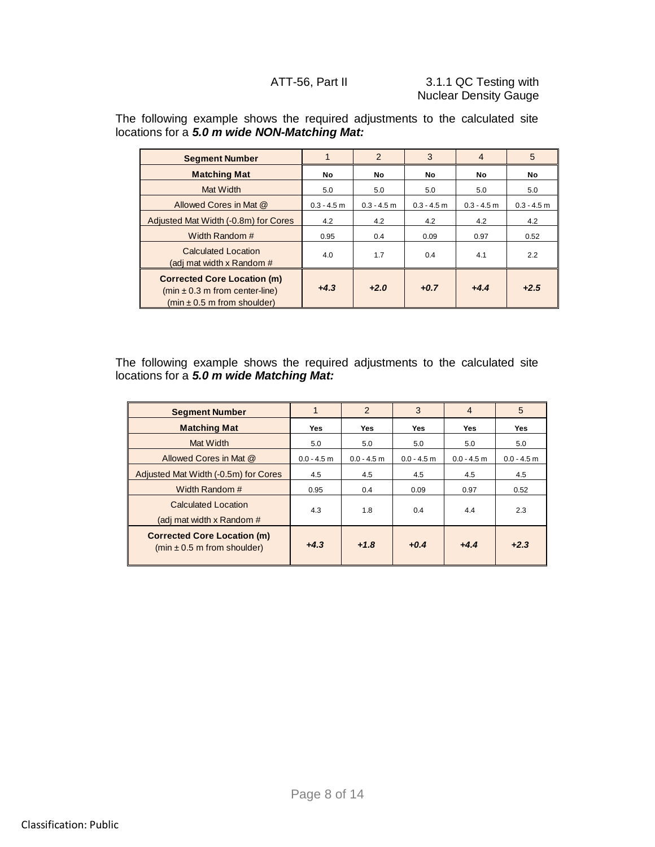| following example shows the required adjustments to the calculated site<br>tions for a 5.0 m wide NON-Matching Mat: |               |               |               |                |               |
|---------------------------------------------------------------------------------------------------------------------|---------------|---------------|---------------|----------------|---------------|
| <b>Segment Number</b>                                                                                               |               | 2             | 3             | $\overline{4}$ | 5             |
| <b>Matching Mat</b>                                                                                                 | No            | No            | No            | No             | No            |
| Mat Width                                                                                                           | 5.0           | 5.0           | 5.0           | 5.0            | 5.0           |
| Allowed Cores in Mat @                                                                                              | $0.3 - 4.5$ m | $0.3 - 4.5$ m | $0.3 - 4.5$ m | $0.3 - 4.5$ m  | $0.3 - 4.5$ m |
| Adjusted Mat Width (-0.8m) for Cores                                                                                | 4.2           | 4.2           | 4.2           | 4.2            | 4.2           |
| Width Random #                                                                                                      | 0.95          | 0.4           | 0.09          | 0.97           | 0.52          |
| <b>Calculated Location</b><br>(adj mat width x Random #                                                             | 4.0           | 1.7           | 0.4           | 4.1            | 2.2           |
| <b>Corrected Core Location (m)</b><br>$(min ± 0.3 m from center-line)$<br>(min ± 0.5 m from shoulder)               | $+4.3$        | $+2.0$        | $+0.7$        | $+4.4$         | $+2.5$        |

The following example shows the required adjustments to the calculated site locations for a *5.0 m wide NON-Matching Mat:*

The following example shows the required adjustments to the calculated site locations for a *5.0 m wide Matching Mat:*

| <b>Segment Number</b>                                                         |               | $\overline{2}$ | 3             | $\overline{4}$ | 5             |
|-------------------------------------------------------------------------------|---------------|----------------|---------------|----------------|---------------|
| <b>Matching Mat</b>                                                           | Yes           | Yes            | <b>Yes</b>    | <b>Yes</b>     | <b>Yes</b>    |
| Mat Width                                                                     | 5.0           | 5.0            | 5.0           | 5.0            | 5.0           |
| Allowed Cores in Mat @                                                        | $0.0 - 4.5$ m | $0.0 - 4.5$ m  | $0.0 - 4.5$ m | $0.0 - 4.5$ m  | $0.0 - 4.5$ m |
| Adjusted Mat Width (-0.5m) for Cores                                          | 4.5           | 4.5            | 4.5           | 4.5            | 4.5           |
| Width Random #                                                                | 0.95          | 0.4            | 0.09          | 0.97           | 0.52          |
| Calculated Location<br>(adj mat width x Random #                              | 4.3           | 1.8            | 0.4           | 4.4            | 2.3           |
| <b>Corrected Core Location (m)</b><br>$(min \pm 0.5 \text{ m from shoulder})$ | $+4.3$        | $+1.8$         | $+0.4$        | $+4.4$         | $+2.3$        |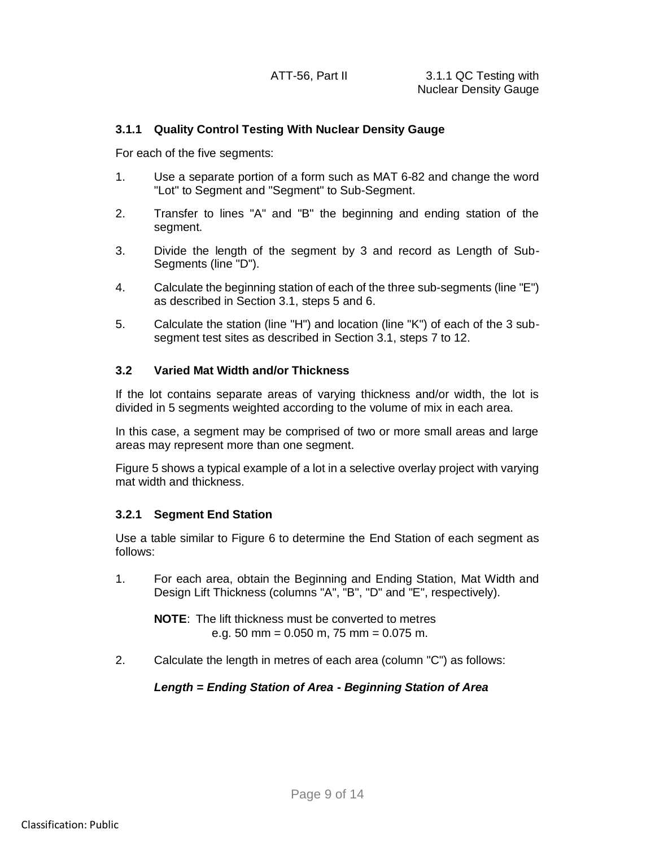#### **3.1.1 Quality Control Testing With Nuclear Density Gauge**

For each of the five segments:

- 1. Use a separate portion of a form such as MAT 6-82 and change the word "Lot" to Segment and "Segment" to Sub-Segment.
- 2. Transfer to lines "A" and "B" the beginning and ending station of the segment.
- 3. Divide the length of the segment by 3 and record as Length of Sub-Segments (line "D").
- 4. Calculate the beginning station of each of the three sub-segments (line "E") as described in Section 3.1, steps 5 and 6.
- 5. Calculate the station (line "H") and location (line "K") of each of the 3 subsegment test sites as described in Section 3.1, steps 7 to 12.

#### **3.2 Varied Mat Width and/or Thickness**

If the lot contains separate areas of varying thickness and/or width, the lot is divided in 5 segments weighted according to the volume of mix in each area.

In this case, a segment may be comprised of two or more small areas and large areas may represent more than one segment.

Figure 5 shows a typical example of a lot in a selective overlay project with varying mat width and thickness.

## **3.2.1 Segment End Station**

Use a table similar to Figure 6 to determine the End Station of each segment as follows:

1. For each area, obtain the Beginning and Ending Station, Mat Width and Design Lift Thickness (columns "A", "B", "D" and "E", respectively).

**NOTE**: The lift thickness must be converted to metres e.g. 50 mm = 0.050 m, 75 mm = 0.075 m.

2. Calculate the length in metres of each area (column "C") as follows:

## *Length = Ending Station of Area - Beginning Station of Area*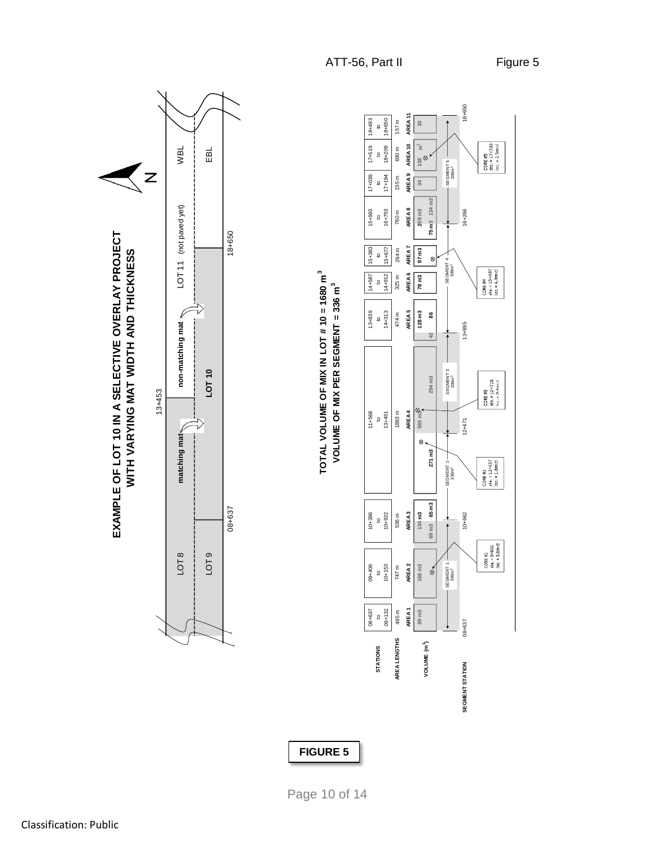18+650 157 m AREA1 AREA2 AREA3 AREA3 AREA4 AREA4 AREA6 AREA6 AREA6 AREA7 AREA8 AREA1 AREA10 AREA11 AREA11<br>I Product area1 area11 AREA1 18+493 18+209 18+650<br>690 m157 m 14+587 15+993 17+039 17+519 18+493 **30**  $\mathfrak{g}% _{T}=\mathfrak{g}_{T}$ to to to to AREA10 CORE #5<br>sta. = 17+703<br>loc. = 2.5m cl WBL  $17 + 519$ **3AREA 2 AREA 3 AREA 4 AREA 5 AREA 6 AREA 8 AREA 10 matching mat was matching mat LOT 11** (not paved yet) MBL<br>matching mat EBL **99 m3 97 m3 34 138 m** 747 m<br>1936 m 536 m<br>RFA2 ARFA3 ARFA4 ARFA4 ARFA4 ARFA5 ARFA6 ARFA7 ARFA8 ARFA1 ARFA9 ARFA1  $\circ$  $\frac{8}{2}$ SEGMENT 5<br>336m<sup>3</sup> 336m3 SEGMENT 5  $\overline{z}$ AREA<sub>9</sub> 17+039  $17+194$ 155 m 10+153 10+922 | 10+922 | 13+451 | 14+314 14+314 14+314 14+314 14+912 | 14+912 | 15+677 | 16+6751 | 17+194<br>| 13+512 17+194  $\ddot{\circ}$ **2**09 m3<br>**75 m**3 134 m3 **69 m3 65 m3 42 75 m3 134 m3** LOT 11 (not paved yet) AREA<sub>8</sub> LOT 11 (not paved yet) 15+993  $\begin{array}{r} 16+753 \\ +753 \end{array}$ 16+266 08+657 12+662 12+471 12+471 12+471 12+471 12+471 12=10+40 EXAMPLE OF LOT 10 IN A SELECTIVE OVERLAY PROJECT 18+650 **EXAMPLE OF LOT 10 IN A SELECTIVE OVERLAY PROJECT** AREA7 WITH VARYING MAT WIDTH AND THICKNESS 15+677 294 m 97 m3 15+383 08+637 | 09+406 | 10+386 | 11+568 | 11+568 | 13+889 | 13+887 | 15+383<br>10-533 | 15+387 | 15+383<br>10-10 | 10-10 | 10-10 | 10-10 | 10-10 | 10-10 | 10-10 | 10-10 | 10-10 | 10-10 | 10-10 09+132 14+912 15+677<br>09+132 14+912 15+677 **WITH VARYING MAT WIDTH AND THICKNESS** 495 m 747 m<br>ABEA1 AREA2 AREA3<br>AREA1 AREA2 AREA3 AREA3  $\mathfrak{Q}$ antsk (skotsk) i Statsk i Spanjel.<br>Opril Opril Opri  $^{\circ}$ SEGMENT 4<br>336m<sup>3</sup> CORE #4<br>sta. = 15+497<br>loc. = 4.9m cl AREA<sub>6</sub> TOTAL VOLUME OF MIX IN LOT # 10 = 1680 m<sup>3</sup>  $14+912$ **TOTAL VOLUME OF MIX IN LOT # 10 = 1680 m3**  $325<sub>m</sub>$ 14+587  $78 \text{ m}$ **168 m3 134 m3 565 m3 128 m3 78 m3** VOLUME OF MIX PER SEGMENT = 336 m<sup>3</sup> to to to to to **VOLUME OF MIX PER SEGMENT = 336 m3** 13+839<br>to<br>14+313 non-matching mat 474 m AREA5  $128 \text{ m}3$ 8 **271 m3 294 m3 86**  $13 + 995$ **non-matching mat** 42 SEGMENT 3<br>336m<sup>3</sup> **LOT 10** 3MENT 2 Ment 2 Ment 3<br>336m<sup>3</sup> 294 m3 CORE #3<br>sta. = 12+718<br>|oc. = 0.4m cl 13+453  $11+568$ <br>to<br> $13+451$ 1883 m AREA4 565 m<sup>5</sup> 09+406 10+386 11+568  $12 + 471$ matching mat- $\otimes$  .  $271 \text{ m3}$ CORE #2<br>sta. = 12+437<br>loc. = 1.8m cl SEGMENT<sub>2</sub> 69 m3 65 m3 08+637 AREA<sub>3</sub>  $10+386$ <br>to<br> $10+922$ 134 m3 536 m 10+662  $CORE H1  
sta. = 9+802  
loc. = 3.8m c1$ LOT 8 LOT 9  $09+406$ <br>to<br> $10+153$ AREA<sub>2</sub>  $168 \text{ m}3$ SEGMENT 1<br>336m<sup>3</sup> 747 m  $\delta$  $\frac{10}{09+132}$ AREA1 08+637 495 m 99 m<sub>3</sub> 08+637 **AREA LENGTHS VOLUME (m3 )STATIONS SEGMENT STATION**

**FIGURE 5**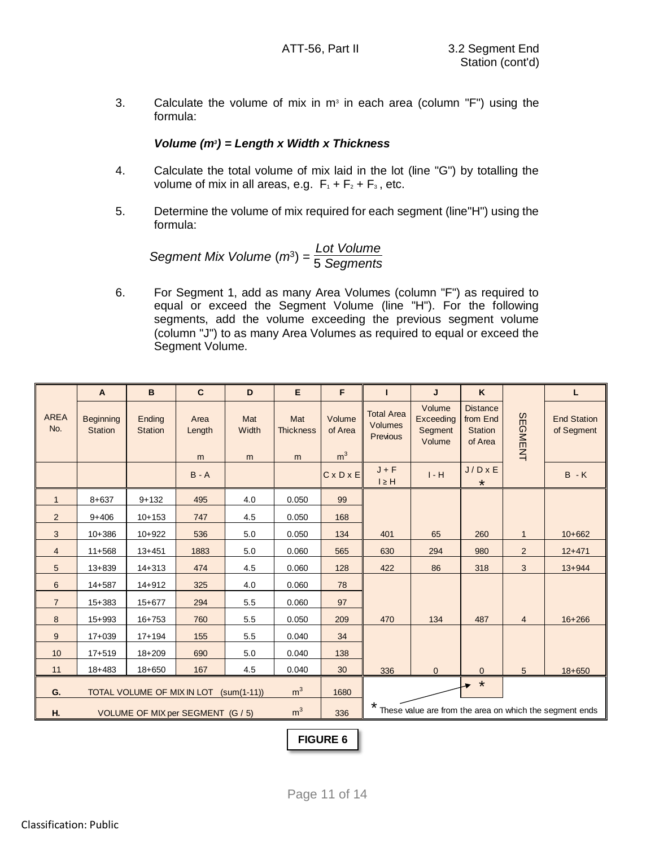3. Calculate the volume of mix in  $m<sup>3</sup>$  in each area (column "F") using the formula:

## *Volume (m<sup>3</sup> ) = Length x Width x Thickness*

- 4. Calculate the total volume of mix laid in the lot (line "G") by totalling the volume of mix in all areas, e.g.  $F_1 + F_2 + F_3$ , etc.
- 5. Determine the volume of mix required for each segment (line"H") using the formula:

*Segment Mix Volume* (*m*<sup>3</sup> ) = *Lot Volume* 5 *Segments*

6. For Segment 1, add as many Area Volumes (column "F") as required to equal or exceed the Segment Volume (line "H"). For the following segments, add the volume exceeding the previous segment volume (column "J") to as many Area Volumes as required to equal or exceed the Segment Volume.

|                    | $\mathsf{A}$                       | B                                      | $\mathbf{C}$        | D                 | E                            | F                                   | $\mathbf{I}$                                    | J                                        | K                                                        |                | г                                                       |
|--------------------|------------------------------------|----------------------------------------|---------------------|-------------------|------------------------------|-------------------------------------|-------------------------------------------------|------------------------------------------|----------------------------------------------------------|----------------|---------------------------------------------------------|
| <b>AREA</b><br>No. | <b>Beginning</b><br><b>Station</b> | Ending<br><b>Station</b>               | Area<br>Length<br>m | Mat<br>Width<br>m | Mat<br><b>Thickness</b><br>m | Volume<br>of Area<br>m <sup>3</sup> | <b>Total Area</b><br><b>Volumes</b><br>Previous | Volume<br>Exceeding<br>Segment<br>Volume | <b>Distance</b><br>from End<br><b>Station</b><br>of Area | SEGMENT        | <b>End Station</b><br>of Segment                        |
|                    |                                    |                                        | $B - A$             |                   |                              | $C \times D \times E$               | $J + F$<br>$I \geq H$                           | $I - H$                                  | $J/D \times E$<br>$\star$                                |                | $B - K$                                                 |
| $\mathbf{1}$       | $8 + 637$                          | $9 + 132$                              | 495                 | 4.0               | 0.050                        | 99                                  |                                                 |                                          |                                                          |                |                                                         |
| $\overline{2}$     | $9 + 406$                          | $10+153$                               | 747                 | 4.5               | 0.050                        | 168                                 |                                                 |                                          |                                                          |                |                                                         |
| 3                  | $10 + 386$                         | $10+922$                               | 536                 | 5.0               | 0.050                        | 134                                 | 401                                             | 65                                       | 260                                                      | $\mathbf{1}$   | $10+662$                                                |
| $\overline{4}$     | $11+568$                           | $13 + 451$                             | 1883                | 5.0               | 0.060                        | 565                                 | 630                                             | 294                                      | 980                                                      | $\overline{2}$ | $12+471$                                                |
| 5                  | $13 + 839$                         | $14 + 313$                             | 474                 | 4.5               | 0.060                        | 128                                 | 422                                             | 86                                       | 318                                                      | 3              | $13 + 944$                                              |
| 6                  | $14 + 587$                         | $14 + 912$                             | 325                 | 4.0               | 0.060                        | 78                                  |                                                 |                                          |                                                          |                |                                                         |
| $\overline{7}$     | $15 + 383$                         | $15 + 677$                             | 294                 | 5.5               | 0.060                        | 97                                  |                                                 |                                          |                                                          |                |                                                         |
| 8                  | $15 + 993$                         | $16 + 753$                             | 760                 | 5.5               | 0.050                        | 209                                 | 470                                             | 134                                      | 487                                                      | $\overline{4}$ | $16 + 266$                                              |
| 9                  | $17 + 039$                         | $17 + 194$                             | 155                 | 5.5               | 0.040                        | 34                                  |                                                 |                                          |                                                          |                |                                                         |
| 10                 | $17 + 519$                         | $18 + 209$                             | 690                 | 5.0               | 0.040                        | 138                                 |                                                 |                                          |                                                          |                |                                                         |
| 11                 | $18+483$                           | $18 + 650$                             | 167                 | 4.5               | 0.040                        | 30                                  | 336                                             | $\mathbf{0}$                             | 0                                                        | 5              | $18 + 650$                                              |
| G.                 |                                    | TOTAL VOLUME OF MIX IN LOT (sum(1-11)) |                     |                   | m <sup>3</sup>               | 1680                                |                                                 |                                          | ∗                                                        |                |                                                         |
| H.                 |                                    | VOLUME OF MIX per SEGMENT (G / 5)      |                     |                   | m <sup>3</sup>               | 336                                 | $\star$                                         |                                          |                                                          |                | These value are from the area on which the segment ends |

**FIGURE 6**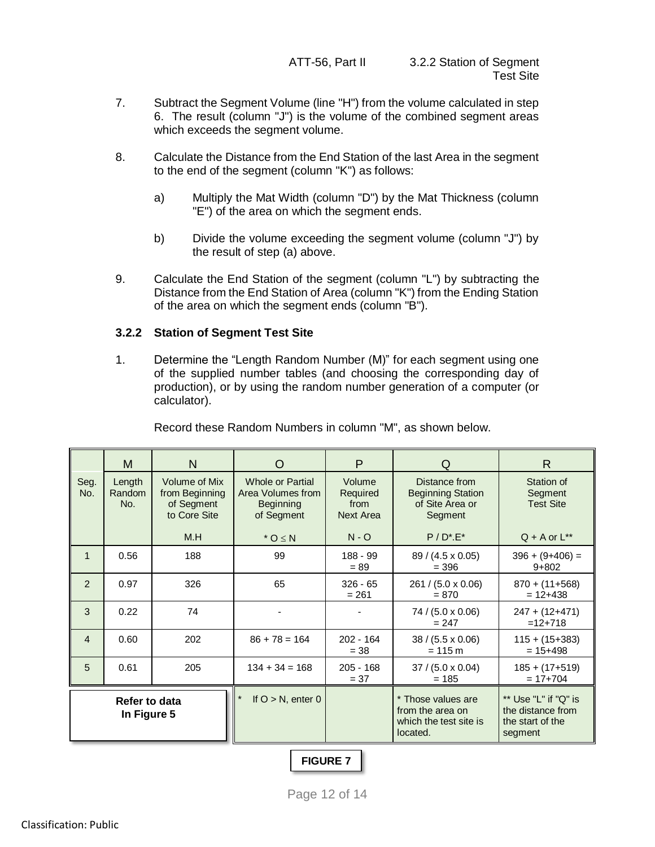- 7. Subtract the Segment Volume (line "H") from the volume calculated in step 6. The result (column "J") is the volume of the combined segment areas which exceeds the segment volume.
- 8. Calculate the Distance from the End Station of the last Area in the segment to the end of the segment (column "K") as follows:
	- a) Multiply the Mat Width (column "D") by the Mat Thickness (column "E") of the area on which the segment ends.
	- b) Divide the volume exceeding the segment volume (column "J") by the result of step (a) above.
- 9. Calculate the End Station of the segment (column "L") by subtracting the Distance from the End Station of Area (column "K") from the Ending Station of the area on which the segment ends (column "B").

## **3.2.2 Station of Segment Test Site**

1. Determine the "Length Random Number (M)" for each segment using one of the supplied number tables (and choosing the corresponding day of production), or by using the random number generation of a computer (or calculator).

|                | м                            | N                                                                    | O                                                                              | P                                              | O                                                                            | R                                                                        |
|----------------|------------------------------|----------------------------------------------------------------------|--------------------------------------------------------------------------------|------------------------------------------------|------------------------------------------------------------------------------|--------------------------------------------------------------------------|
| Seg.<br>No.    | Length<br>Random<br>No.      | <b>Volume of Mix</b><br>from Beginning<br>of Segment<br>to Core Site | <b>Whole or Partial</b><br>Area Volumes from<br><b>Beginning</b><br>of Segment | Volume<br>Required<br>from<br><b>Next Area</b> | Distance from<br><b>Beginning Station</b><br>of Site Area or<br>Segment      | Station of<br>Segment<br><b>Test Site</b>                                |
|                |                              | M.H                                                                  | $*$ O $\leq$ N                                                                 | $N - Q$                                        | $P / D^* E^*$                                                                | $Q + A$ or $L^{**}$                                                      |
| $\mathbf{1}$   | 0.56                         | 188                                                                  | 99                                                                             | 188 - 99<br>$= 89$                             | $89 / (4.5 \times 0.05)$<br>$= 396$                                          | $396 + (9+406) =$<br>$9 + 802$                                           |
| 2              | 0.97                         | 326                                                                  | 65                                                                             | $326 - 65$<br>$= 261$                          | 261 / (5.0 x 0.06)<br>$= 870$                                                | $870 + (11+568)$<br>$= 12 + 438$                                         |
| 3              | 0.22                         | 74                                                                   |                                                                                |                                                | $74 / (5.0 \times 0.06)$<br>$= 247$                                          | $247 + (12+471)$<br>$=12+718$                                            |
| $\overline{4}$ | 0.60                         | 202                                                                  | $86 + 78 = 164$                                                                | $202 - 164$<br>$= 38$                          | $38 / (5.5 \times 0.06)$<br>$= 115 m$                                        | $115 + (15+383)$<br>$= 15 + 498$                                         |
| 5              | 0.61                         | 205                                                                  | $134 + 34 = 168$                                                               | $205 - 168$<br>$= 37$                          | $37 / (5.0 \times 0.04)$<br>$= 185$                                          | $185 + (17+519)$<br>$= 17 + 704$                                         |
|                | Refer to data<br>In Figure 5 |                                                                      | If $O > N$ , enter 0                                                           |                                                | * Those values are<br>from the area on<br>which the test site is<br>located. | ** Use "L" if "Q" is<br>the distance from<br>the start of the<br>segment |

Record these Random Numbers in column "M", as shown below.

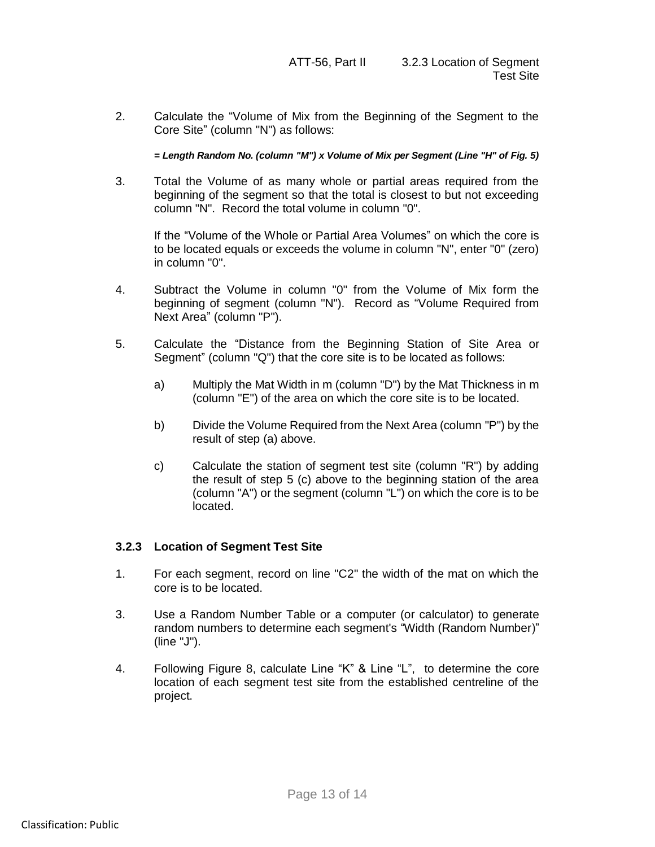2. Calculate the "Volume of Mix from the Beginning of the Segment to the Core Site" (column "N") as follows:

*= Length Random No. (column "M") x Volume of Mix per Segment (Line "H" of Fig. 5)*

3. Total the Volume of as many whole or partial areas required from the beginning of the segment so that the total is closest to but not exceeding column "N". Record the total volume in column "0".

If the "Volume of the Whole or Partial Area Volumes" on which the core is to be located equals or exceeds the volume in column "N", enter "0" (zero) in column "0".

- 4. Subtract the Volume in column "0" from the Volume of Mix form the beginning of segment (column "N"). Record as "Volume Required from Next Area" (column "P").
- 5. Calculate the "Distance from the Beginning Station of Site Area or Segment" (column "Q") that the core site is to be located as follows:
	- a) Multiply the Mat Width in m (column "D") by the Mat Thickness in m (column "E") of the area on which the core site is to be located.
	- b) Divide the Volume Required from the Next Area (column "P") by the result of step (a) above.
	- c) Calculate the station of segment test site (column "R") by adding the result of step 5 (c) above to the beginning station of the area (column "A") or the segment (column "L") on which the core is to be located.

## **3.2.3 Location of Segment Test Site**

- 1. For each segment, record on line "C2" the width of the mat on which the core is to be located.
- 3. Use a Random Number Table or a computer (or calculator) to generate random numbers to determine each segment's "Width (Random Number)" (line "J").
- 4. Following Figure 8, calculate Line "K" & Line "L", to determine the core location of each segment test site from the established centreline of the project.